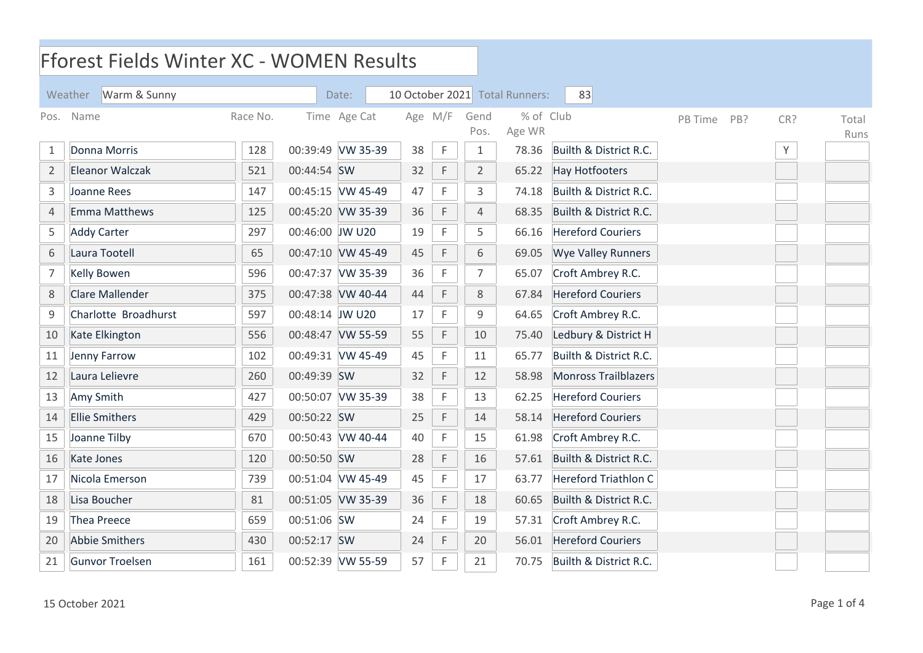|                | <b>Fforest Fields Winter XC - WOMEN Results</b> |          |                 |                   |         |              |                |                                |                             |         |            |               |
|----------------|-------------------------------------------------|----------|-----------------|-------------------|---------|--------------|----------------|--------------------------------|-----------------------------|---------|------------|---------------|
|                | Weather Warm & Sunny                            |          |                 | Date:             |         |              |                | 10 October 2021 Total Runners: | 83                          |         |            |               |
| Pos.           | Name                                            | Race No. |                 | Time Age Cat      | Age M/F |              | Gend<br>Pos.   | % of Club<br>Age WR            |                             | PB Time | CR?<br>PB? | Total<br>Runs |
| 1              | Donna Morris                                    | 128      |                 | 00:39:49 VW 35-39 | 38      | $\mathsf F$  | 1              | 78.36                          | Builth & District R.C.      |         | Υ          |               |
| $\overline{2}$ | <b>Eleanor Walczak</b>                          | 521      | 00:44:54 SW     |                   | 32      | F            | $\overline{2}$ | 65.22                          | <b>Hay Hotfooters</b>       |         |            |               |
| 3              | Joanne Rees                                     | 147      |                 | 00:45:15 VW 45-49 | 47      | F            | 3              | 74.18                          | Builth & District R.C.      |         |            |               |
| $\overline{4}$ | <b>Emma Matthews</b>                            | 125      |                 | 00:45:20 VW 35-39 | 36      | F            | $\overline{4}$ | 68.35                          | Builth & District R.C.      |         |            |               |
| 5              | <b>Addy Carter</b>                              | 297      | 00:46:00 JW U20 |                   | 19      | $\mathsf{F}$ | 5              | 66.16                          | <b>Hereford Couriers</b>    |         |            |               |
| 6              | Laura Tootell                                   | 65       |                 | 00:47:10 VW 45-49 | 45      | $\mathsf F$  | 6              | 69.05                          | <b>Wye Valley Runners</b>   |         |            |               |
| $\overline{7}$ | Kelly Bowen                                     | 596      |                 | 00:47:37 VW 35-39 | 36      | F            | 7              | 65.07                          | Croft Ambrey R.C.           |         |            |               |
| $\,8\,$        | Clare Mallender                                 | 375      |                 | 00:47:38 VW 40-44 | 44      | $\mathsf F$  | 8              | 67.84                          | <b>Hereford Couriers</b>    |         |            |               |
| 9              | Charlotte Broadhurst                            | 597      | 00:48:14 JW U20 |                   | 17      | F            | 9              | 64.65                          | Croft Ambrey R.C.           |         |            |               |
| 10             | Kate Elkington                                  | 556      |                 | 00:48:47 VW 55-59 | 55      | F            | 10             | 75.40                          | Ledbury & District H        |         |            |               |
| 11             | Jenny Farrow                                    | 102      |                 | 00:49:31 VW 45-49 | 45      | $\mathsf F$  | 11             | 65.77                          | Builth & District R.C.      |         |            |               |
| 12             | Laura Lelievre                                  | 260      | 00:49:39 SW     |                   | 32      | F            | 12             | 58.98                          | <b>Monross Trailblazers</b> |         |            |               |
| 13             | Amy Smith                                       | 427      |                 | 00:50:07 VW 35-39 | 38      | F            | 13             | 62.25                          | <b>Hereford Couriers</b>    |         |            |               |
| 14             | <b>Ellie Smithers</b>                           | 429      | 00:50:22 SW     |                   | 25      | F            | 14             | 58.14                          | <b>Hereford Couriers</b>    |         |            |               |
| 15             | Joanne Tilby                                    | 670      |                 | 00:50:43 VW 40-44 | 40      | F            | 15             | 61.98                          | Croft Ambrey R.C.           |         |            |               |
| 16             | Kate Jones                                      | 120      | 00:50:50 SW     |                   | 28      | $\mathsf F$  | 16             | 57.61                          | Builth & District R.C.      |         |            |               |
| 17             | Nicola Emerson                                  | 739      |                 | 00:51:04 VW 45-49 | 45      | $\mathsf F$  | 17             | 63.77                          | <b>Hereford Triathlon C</b> |         |            |               |
| 18             | Lisa Boucher                                    | 81       |                 | 00:51:05 VW 35-39 | 36      | F            | 18             | 60.65                          | Builth & District R.C.      |         |            |               |
| 19             | Thea Preece                                     | 659      | 00:51:06 SW     |                   | 24      | F            | 19             | 57.31                          | Croft Ambrey R.C.           |         |            |               |
| 20             | <b>Abbie Smithers</b>                           | 430      | 00:52:17 SW     |                   | 24      | $\mathsf F$  | 20             | 56.01                          | <b>Hereford Couriers</b>    |         |            |               |
| 21             | Gunvor Troelsen                                 | 161      |                 | 00:52:39 VW 55-59 | 57      | F            | 21             | 70.75                          | Builth & District R.C.      |         |            |               |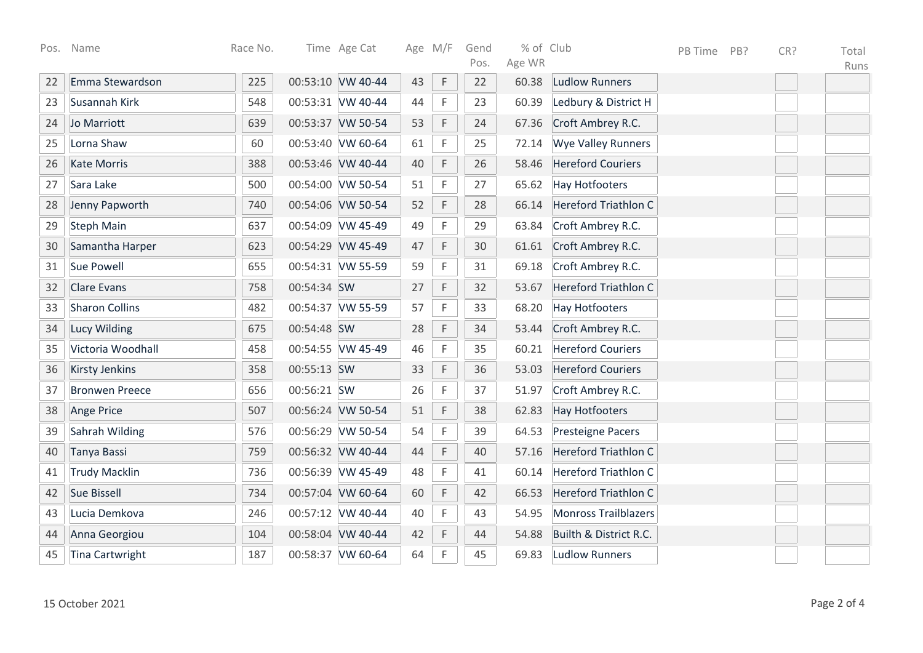| Pos. | Name                   | Race No. |             | Time Age Cat      | Age M/F |             | Gend<br>Pos. | % of Club<br>Age WR |                             | PB Time | PB? | CR? | Total |
|------|------------------------|----------|-------------|-------------------|---------|-------------|--------------|---------------------|-----------------------------|---------|-----|-----|-------|
| 22   | Emma Stewardson        | 225      |             | 00:53:10 VW 40-44 | 43      | $\mathsf F$ | 22           | 60.38               | <b>Ludlow Runners</b>       |         |     |     | Runs  |
| 23   | Susannah Kirk          | 548      |             | 00:53:31 VW 40-44 | 44      | F           | 23           | 60.39               | Ledbury & District H        |         |     |     |       |
| 24   | Jo Marriott            | 639      |             | 00:53:37 VW 50-54 | 53      | $\mathsf F$ | 24           | 67.36               | Croft Ambrey R.C.           |         |     |     |       |
| 25   | Lorna Shaw             | 60       |             | 00:53:40 VW 60-64 | 61      | F           | 25           | 72.14               | <b>Wye Valley Runners</b>   |         |     |     |       |
| 26   | <b>Kate Morris</b>     | 388      |             | 00:53:46 VW 40-44 | 40      | $\mathsf F$ | 26           | 58.46               | <b>Hereford Couriers</b>    |         |     |     |       |
| 27   | Sara Lake              | 500      |             | 00:54:00 VW 50-54 | 51      | F           | 27           | 65.62               | <b>Hay Hotfooters</b>       |         |     |     |       |
| 28   | Jenny Papworth         | 740      |             | 00:54:06 VW 50-54 | 52      | $\mathsf F$ | 28           | 66.14               | <b>Hereford Triathlon C</b> |         |     |     |       |
| 29   | <b>Steph Main</b>      | 637      |             | 00:54:09 VW 45-49 | 49      | $\mathsf F$ | 29           | 63.84               | Croft Ambrey R.C.           |         |     |     |       |
| 30   | Samantha Harper        | 623      |             | 00:54:29 VW 45-49 | 47      | $\mathsf F$ | 30           | 61.61               | Croft Ambrey R.C.           |         |     |     |       |
| 31   | Sue Powell             | 655      |             | 00:54:31 VW 55-59 | 59      | $\mathsf F$ | 31           | 69.18               | Croft Ambrey R.C.           |         |     |     |       |
| 32   | <b>Clare Evans</b>     | 758      | 00:54:34 SW |                   | 27      | $\mathsf F$ | 32           | 53.67               | <b>Hereford Triathlon C</b> |         |     |     |       |
| 33   | <b>Sharon Collins</b>  | 482      |             | 00:54:37 VW 55-59 | 57      | $\mathsf F$ | 33           | 68.20               | <b>Hay Hotfooters</b>       |         |     |     |       |
| 34   | Lucy Wilding           | 675      | 00:54:48 SW |                   | 28      | $\mathsf F$ | 34           | 53.44               | Croft Ambrey R.C.           |         |     |     |       |
| 35   | Victoria Woodhall      | 458      |             | 00:54:55 VW 45-49 | 46      | $\mathsf F$ | 35           | 60.21               | <b>Hereford Couriers</b>    |         |     |     |       |
| 36   | <b>Kirsty Jenkins</b>  | 358      | 00:55:13 SW |                   | 33      | $\mathsf F$ | 36           | 53.03               | <b>Hereford Couriers</b>    |         |     |     |       |
| 37   | <b>Bronwen Preece</b>  | 656      | 00:56:21 SW |                   | 26      | F           | 37           | 51.97               | Croft Ambrey R.C.           |         |     |     |       |
| 38   | Ange Price             | 507      |             | 00:56:24 VW 50-54 | 51      | $\mathsf F$ | 38           | 62.83               | <b>Hay Hotfooters</b>       |         |     |     |       |
| 39   | Sahrah Wilding         | 576      |             | 00:56:29 VW 50-54 | 54      | $\mathsf F$ | 39           | 64.53               | <b>Presteigne Pacers</b>    |         |     |     |       |
| 40   | Tanya Bassi            | 759      |             | 00:56:32 VW 40-44 | 44      | $\mathsf F$ | 40           | 57.16               | <b>Hereford Triathlon C</b> |         |     |     |       |
| 41   | <b>Trudy Macklin</b>   | 736      |             | 00:56:39 VW 45-49 | 48      | $\mathsf F$ | 41           | 60.14               | <b>Hereford Triathlon C</b> |         |     |     |       |
| 42   | <b>Sue Bissell</b>     | 734      |             | 00:57:04 VW 60-64 | 60      | $\mathsf F$ | 42           | 66.53               | <b>Hereford Triathlon C</b> |         |     |     |       |
| 43   | Lucia Demkova          | 246      |             | 00:57:12 VW 40-44 | 40      | $\mathsf F$ | 43           | 54.95               | Monross Trailblazers        |         |     |     |       |
| 44   | Anna Georgiou          | 104      |             | 00:58:04 VW 40-44 | 42      | $\mathsf F$ | 44           | 54.88               | Builth & District R.C.      |         |     |     |       |
| 45   | <b>Tina Cartwright</b> | 187      |             | 00:58:37 VW 60-64 | 64      | $\mathsf F$ | 45           | 69.83               | <b>Ludlow Runners</b>       |         |     |     |       |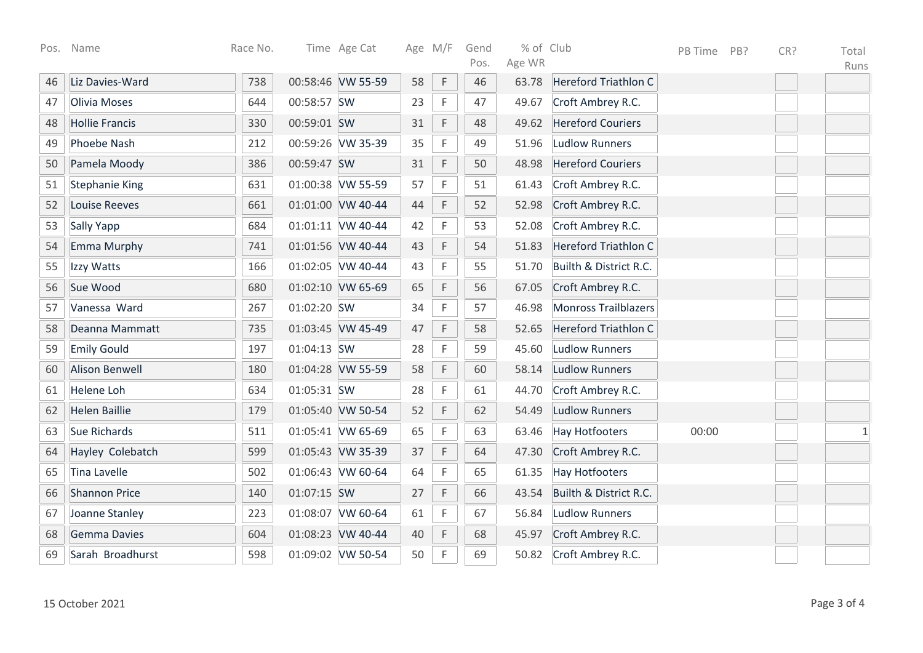| Pos. | Name                  | Race No. |             | Time Age Cat      |    | Age M/F     | Gend<br>Pos. | % of Club<br>Age WR |                             | PB Time | PB? | CR? | Total<br>Runs |
|------|-----------------------|----------|-------------|-------------------|----|-------------|--------------|---------------------|-----------------------------|---------|-----|-----|---------------|
| 46   | Liz Davies-Ward       | 738      |             | 00:58:46 VW 55-59 | 58 | F           | 46           | 63.78               | Hereford Triathlon C        |         |     |     |               |
| 47   | Olivia Moses          | 644      | 00:58:57 SW |                   | 23 | F           | 47           | 49.67               | Croft Ambrey R.C.           |         |     |     |               |
| 48   | <b>Hollie Francis</b> | 330      | 00:59:01 SW |                   | 31 | F           | 48           | 49.62               | <b>Hereford Couriers</b>    |         |     |     |               |
| 49   | Phoebe Nash           | 212      |             | 00:59:26 VW 35-39 | 35 | F           | 49           | 51.96               | <b>Ludlow Runners</b>       |         |     |     |               |
| 50   | Pamela Moody          | 386      | 00:59:47 SW |                   | 31 | $\mathsf F$ | 50           | 48.98               | <b>Hereford Couriers</b>    |         |     |     |               |
| 51   | <b>Stephanie King</b> | 631      |             | 01:00:38 VW 55-59 | 57 | F           | 51           | 61.43               | Croft Ambrey R.C.           |         |     |     |               |
| 52   | <b>Louise Reeves</b>  | 661      |             | 01:01:00 VW 40-44 | 44 | $\mathsf F$ | 52           | 52.98               | Croft Ambrey R.C.           |         |     |     |               |
| 53   | Sally Yapp            | 684      |             | 01:01:11 VW 40-44 | 42 | F           | 53           | 52.08               | Croft Ambrey R.C.           |         |     |     |               |
| 54   | Emma Murphy           | 741      |             | 01:01:56 VW 40-44 | 43 | F           | 54           | 51.83               | Hereford Triathlon C        |         |     |     |               |
| 55   | Izzy Watts            | 166      |             | 01:02:05 VW 40-44 | 43 | F           | 55           | 51.70               | Builth & District R.C.      |         |     |     |               |
| 56   | Sue Wood              | 680      |             | 01:02:10 VW 65-69 | 65 | $\mathsf F$ | 56           | 67.05               | Croft Ambrey R.C.           |         |     |     |               |
| 57   | Vanessa Ward          | 267      | 01:02:20 SW |                   | 34 | $\mathsf F$ | 57           | 46.98               | <b>Monross Trailblazers</b> |         |     |     |               |
| 58   | Deanna Mammatt        | 735      |             | 01:03:45 VW 45-49 | 47 | F           | 58           | 52.65               | <b>Hereford Triathlon C</b> |         |     |     |               |
| 59   | <b>Emily Gould</b>    | 197      | 01:04:13 SW |                   | 28 | F           | 59           | 45.60               | <b>Ludlow Runners</b>       |         |     |     |               |
| 60   | <b>Alison Benwell</b> | 180      |             | 01:04:28 VW 55-59 | 58 | $\mathsf F$ | 60           | 58.14               | <b>Ludlow Runners</b>       |         |     |     |               |
| 61   | <b>Helene Loh</b>     | 634      | 01:05:31 SW |                   | 28 | F           | 61           | 44.70               | Croft Ambrey R.C.           |         |     |     |               |
| 62   | <b>Helen Baillie</b>  | 179      |             | 01:05:40 VW 50-54 | 52 | F           | 62           | 54.49               | Ludlow Runners              |         |     |     |               |
| 63   | Sue Richards          | 511      |             | 01:05:41 VW 65-69 | 65 | F           | 63           | 63.46               | <b>Hay Hotfooters</b>       | 00:00   |     |     | $\mathbf{1}$  |
| 64   | Hayley Colebatch      | 599      |             | 01:05:43 VW 35-39 | 37 | $\mathsf F$ | 64           | 47.30               | Croft Ambrey R.C.           |         |     |     |               |
| 65   | <b>Tina Lavelle</b>   | 502      |             | 01:06:43 VW 60-64 | 64 | F           | 65           | 61.35               | <b>Hay Hotfooters</b>       |         |     |     |               |
| 66   | <b>Shannon Price</b>  | 140      | 01:07:15 SW |                   | 27 | $\mathsf F$ | 66           | 43.54               | Builth & District R.C.      |         |     |     |               |
| 67   | Joanne Stanley        | 223      | 01:08:07    | VW 60-64          | 61 | F           | 67           | 56.84               | <b>Ludlow Runners</b>       |         |     |     |               |
| 68   | Gemma Davies          | 604      |             | 01:08:23 VW 40-44 | 40 | F           | 68           | 45.97               | Croft Ambrey R.C.           |         |     |     |               |
| 69   | Sarah Broadhurst      | 598      |             | 01:09:02 VW 50-54 | 50 | $\mathsf F$ | 69           | 50.82               | Croft Ambrey R.C.           |         |     |     |               |